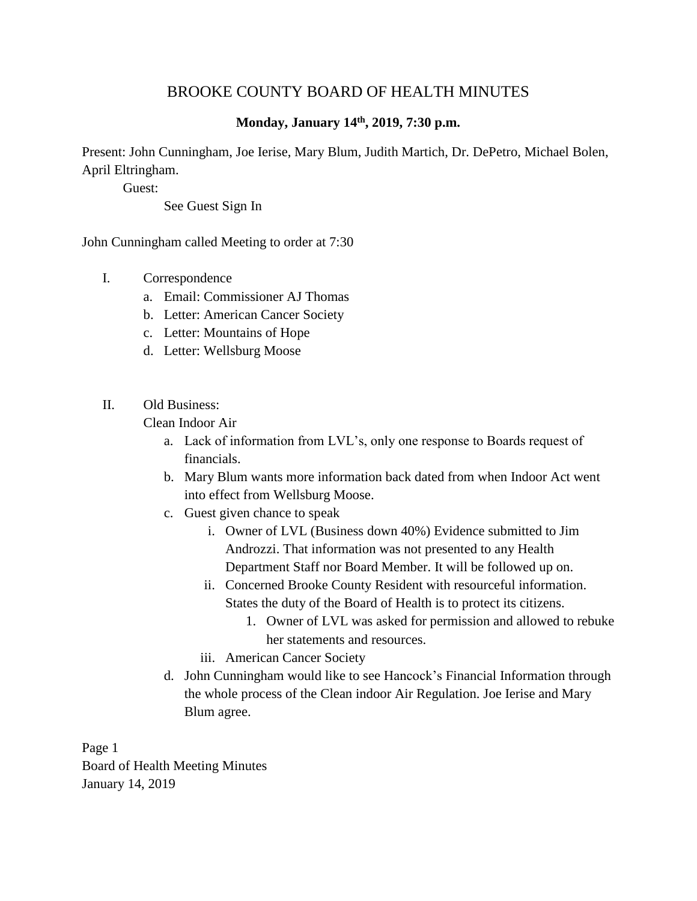## BROOKE COUNTY BOARD OF HEALTH MINUTES

## **Monday, January 14 th , 2019, 7:30 p.m.**

Present: John Cunningham, Joe Ierise, Mary Blum, Judith Martich, Dr. DePetro, Michael Bolen, April Eltringham.

Guest:

See Guest Sign In

John Cunningham called Meeting to order at 7:30

- I. Correspondence
	- a. Email: Commissioner AJ Thomas
	- b. Letter: American Cancer Society
	- c. Letter: Mountains of Hope
	- d. Letter: Wellsburg Moose
- II. Old Business:

Clean Indoor Air

- a. Lack of information from LVL's, only one response to Boards request of financials.
- b. Mary Blum wants more information back dated from when Indoor Act went into effect from Wellsburg Moose.
- c. Guest given chance to speak
	- i. Owner of LVL (Business down 40%) Evidence submitted to Jim Androzzi. That information was not presented to any Health Department Staff nor Board Member. It will be followed up on.
	- ii. Concerned Brooke County Resident with resourceful information. States the duty of the Board of Health is to protect its citizens.
		- 1. Owner of LVL was asked for permission and allowed to rebuke her statements and resources.
	- iii. American Cancer Society
- d. John Cunningham would like to see Hancock's Financial Information through the whole process of the Clean indoor Air Regulation. Joe Ierise and Mary Blum agree.

Page 1

Board of Health Meeting Minutes January 14, 2019